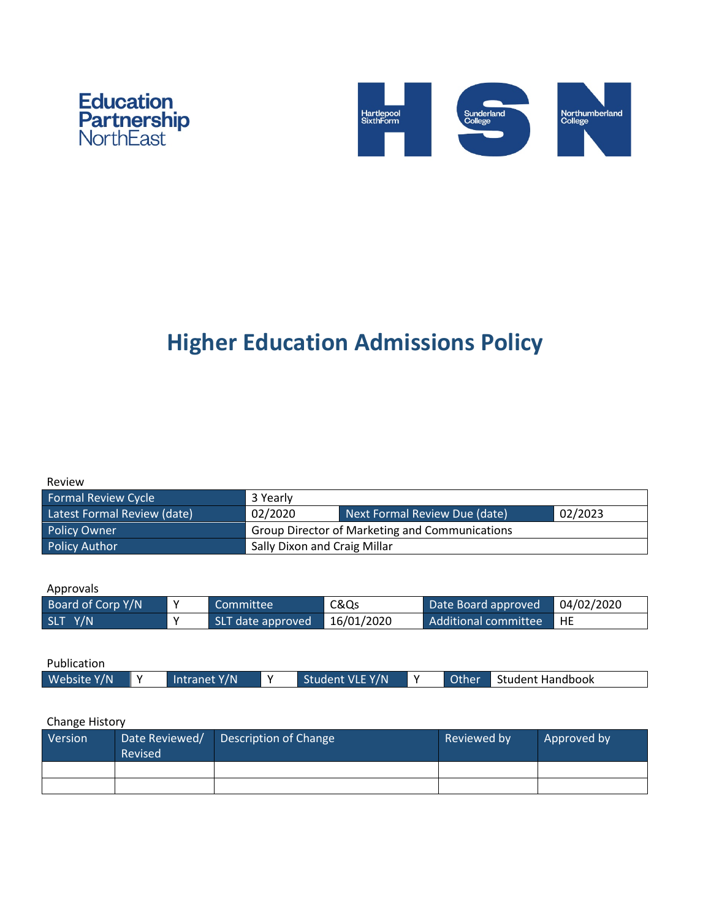



# **Higher Education Admissions Policy**

| Review |  |
|--------|--|
|        |  |

| <b>Formal Review Cycle</b>  | 3 Yearly                                              |                               |         |  |
|-----------------------------|-------------------------------------------------------|-------------------------------|---------|--|
| Latest Formal Review (date) | 02/2020                                               | Next Formal Review Due (date) | 02/2023 |  |
| <b>Policy Owner</b>         | <b>Group Director of Marketing and Communications</b> |                               |         |  |
| <b>Policy Author</b>        | Sally Dixon and Craig Millar                          |                               |         |  |

Approvals

| Board of Corp Y/N |              | Committee         | C&Qs       | Date Board approved            | 04/02/2020 |
|-------------------|--------------|-------------------|------------|--------------------------------|------------|
| SLT Y/N           | $\mathbf{v}$ | SLT date approved | 16/01/2020 | Additional committee <b>HE</b> |            |

| Publication |              |                 |              |                    |
|-------------|--------------|-----------------|--------------|--------------------|
| Website Y/N | Intranet Y/N | Student VLE Y/N | <b>Other</b> | ¶ Student Handbook |

# Change History

| Version | Date Reviewed/<br>Revised | Description of Change | Reviewed by | Approved by |
|---------|---------------------------|-----------------------|-------------|-------------|
|         |                           |                       |             |             |
|         |                           |                       |             |             |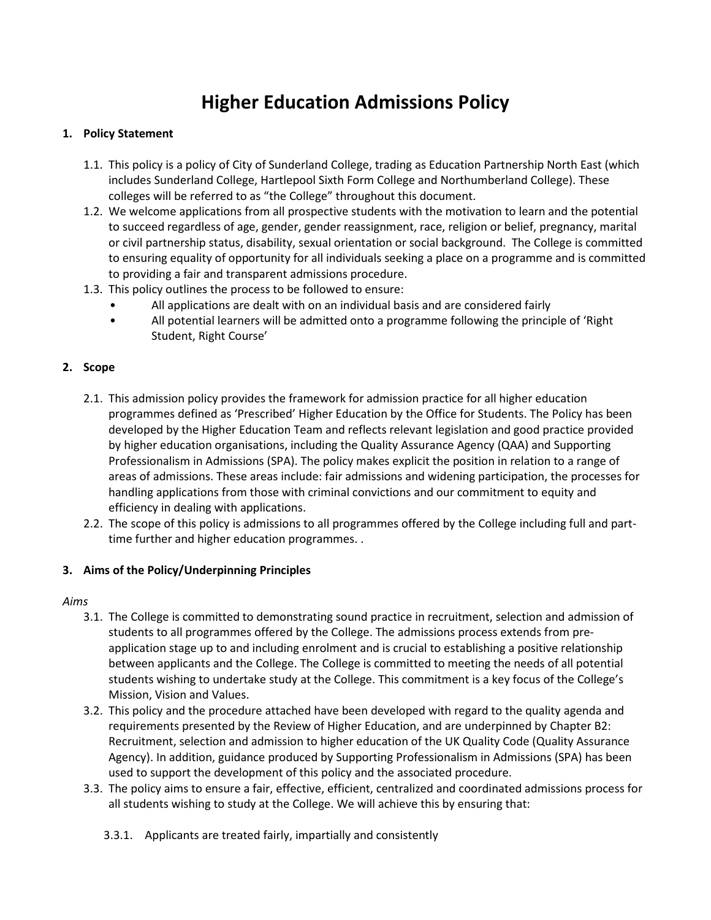# **Higher Education Admissions Policy**

#### **1. Policy Statement**

- 1.1. This policy is a policy of City of Sunderland College, trading as Education Partnership North East (which includes Sunderland College, Hartlepool Sixth Form College and Northumberland College). These colleges will be referred to as "the College" throughout this document.
- 1.2. We welcome applications from all prospective students with the motivation to learn and the potential to succeed regardless of age, gender, gender reassignment, race, religion or belief, pregnancy, marital or civil partnership status, disability, sexual orientation or social background. The College is committed to ensuring equality of opportunity for all individuals seeking a place on a programme and is committed to providing a fair and transparent admissions procedure.
- 1.3. This policy outlines the process to be followed to ensure:
	- All applications are dealt with on an individual basis and are considered fairly
	- All potential learners will be admitted onto a programme following the principle of 'Right Student, Right Course'

#### **2. Scope**

- 2.1. This admission policy provides the framework for admission practice for all higher education programmes defined as 'Prescribed' Higher Education by the Office for Students. The Policy has been developed by the Higher Education Team and reflects relevant legislation and good practice provided by higher education organisations, including the Quality Assurance Agency (QAA) and Supporting Professionalism in Admissions (SPA). The policy makes explicit the position in relation to a range of areas of admissions. These areas include: fair admissions and widening participation, the processes for handling applications from those with criminal convictions and our commitment to equity and efficiency in dealing with applications.
- 2.2. The scope of this policy is admissions to all programmes offered by the College including full and parttime further and higher education programmes. .

#### **3. Aims of the Policy/Underpinning Principles**

#### *Aims*

- 3.1. The College is committed to demonstrating sound practice in recruitment, selection and admission of students to all programmes offered by the College. The admissions process extends from preapplication stage up to and including enrolment and is crucial to establishing a positive relationship between applicants and the College. The College is committed to meeting the needs of all potential students wishing to undertake study at the College. This commitment is a key focus of the College's Mission, Vision and Values.
- 3.2. This policy and the procedure attached have been developed with regard to the quality agenda and requirements presented by the Review of Higher Education, and are underpinned by Chapter B2: Recruitment, selection and admission to higher education of the UK Quality Code (Quality Assurance Agency). In addition, guidance produced by Supporting Professionalism in Admissions (SPA) has been used to support the development of this policy and the associated procedure.
- 3.3. The policy aims to ensure a fair, effective, efficient, centralized and coordinated admissions process for all students wishing to study at the College. We will achieve this by ensuring that:
	- 3.3.1. Applicants are treated fairly, impartially and consistently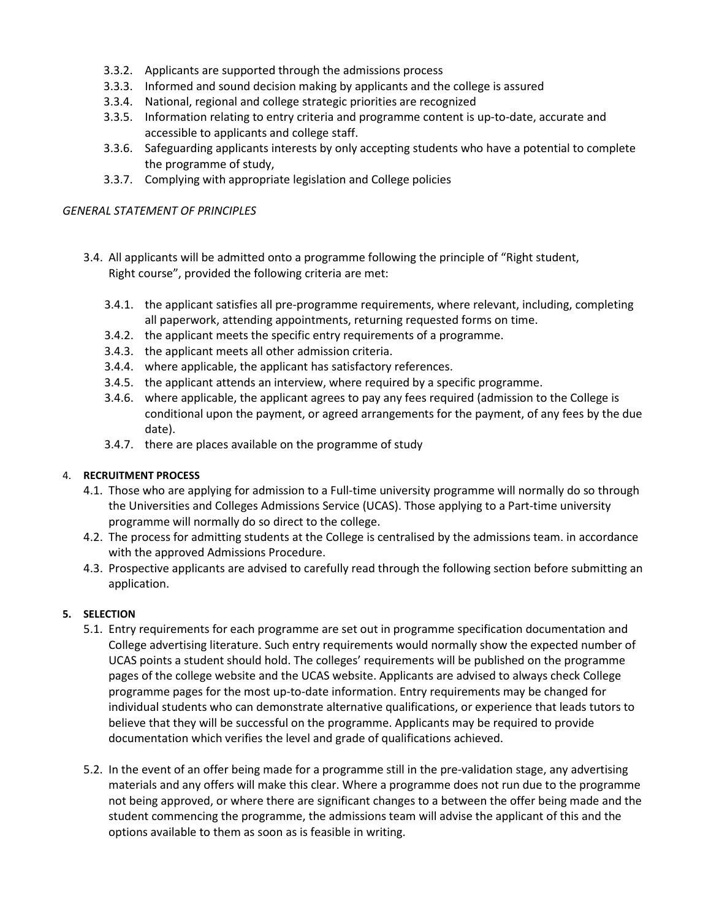- 3.3.2. Applicants are supported through the admissions process
- 3.3.3. Informed and sound decision making by applicants and the college is assured
- 3.3.4. National, regional and college strategic priorities are recognized
- 3.3.5. Information relating to entry criteria and programme content is up-to-date, accurate and accessible to applicants and college staff.
- 3.3.6. Safeguarding applicants interests by only accepting students who have a potential to complete the programme of study,
- 3.3.7. Complying with appropriate legislation and College policies

#### *GENERAL STATEMENT OF PRINCIPLES*

- 3.4. All applicants will be admitted onto a programme following the principle of "Right student, Right course", provided the following criteria are met:
	- 3.4.1. the applicant satisfies all pre-programme requirements, where relevant, including, completing all paperwork, attending appointments, returning requested forms on time.
	- 3.4.2. the applicant meets the specific entry requirements of a programme.
	- 3.4.3. the applicant meets all other admission criteria.
	- 3.4.4. where applicable, the applicant has satisfactory references.
	- 3.4.5. the applicant attends an interview, where required by a specific programme.
	- 3.4.6. where applicable, the applicant agrees to pay any fees required (admission to the College is conditional upon the payment, or agreed arrangements for the payment, of any fees by the due date).
	- 3.4.7. there are places available on the programme of study

#### 4. **RECRUITMENT PROCESS**

- 4.1. Those who are applying for admission to a Full-time university programme will normally do so through the Universities and Colleges Admissions Service (UCAS). Those applying to a Part-time university programme will normally do so direct to the college.
- 4.2. The process for admitting students at the College is centralised by the admissions team. in accordance with the approved Admissions Procedure.
- 4.3. Prospective applicants are advised to carefully read through the following section before submitting an application.

#### **5. SELECTION**

- 5.1. Entry requirements for each programme are set out in programme specification documentation and College advertising literature. Such entry requirements would normally show the expected number of UCAS points a student should hold. The colleges' requirements will be published on the programme pages of the college website and the UCAS website. Applicants are advised to always check College programme pages for the most up-to-date information. Entry requirements may be changed for individual students who can demonstrate alternative qualifications, or experience that leads tutors to believe that they will be successful on the programme. Applicants may be required to provide documentation which verifies the level and grade of qualifications achieved.
- 5.2. In the event of an offer being made for a programme still in the pre-validation stage, any advertising materials and any offers will make this clear. Where a programme does not run due to the programme not being approved, or where there are significant changes to a between the offer being made and the student commencing the programme, the admissions team will advise the applicant of this and the options available to them as soon as is feasible in writing.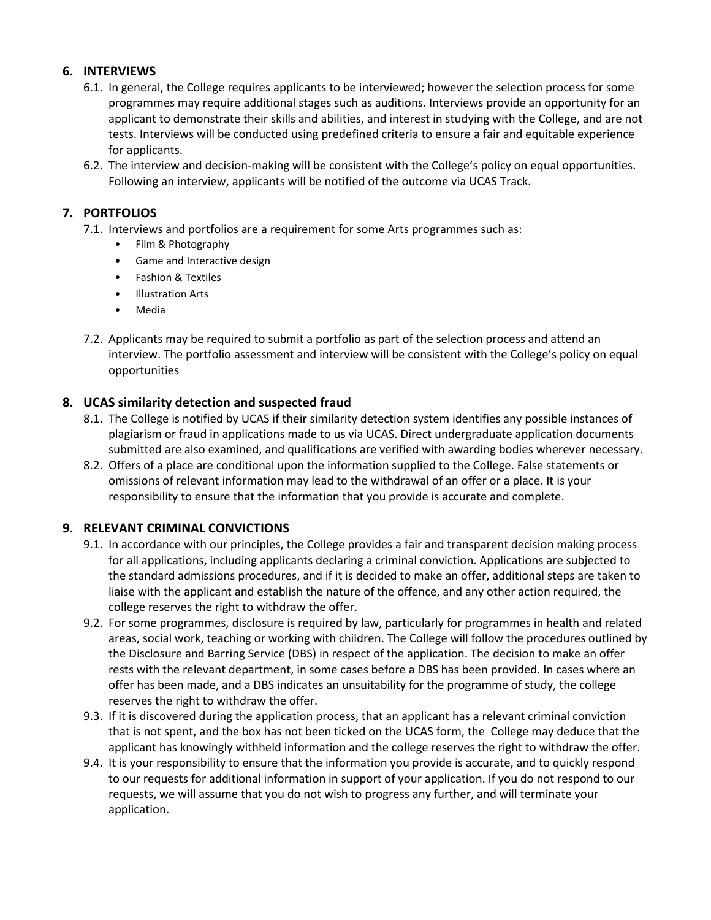# **6. INTERVIEWS**

- 6.1. In general, the College requires applicants to be interviewed; however the selection process for some programmes may require additional stages such as auditions. Interviews provide an opportunity for an applicant to demonstrate their skills and abilities, and interest in studying with the College, and are not tests. Interviews will be conducted using predefined criteria to ensure a fair and equitable experience for applicants.
- 6.2. The interview and decision-making will be consistent with the College's policy on equal opportunities. Following an interview, applicants will be notified of the outcome via UCAS Track.

# **7. PORTFOLIOS**

- 7.1. Interviews and portfolios are a requirement for some Arts programmes such as:
	- Film & Photography
	- Game and Interactive design
	- Fashion & Textiles
	- Illustration Arts
	- Media
- 7.2. Applicants may be required to submit a portfolio as part of the selection process and attend an interview. The portfolio assessment and interview will be consistent with the College's policy on equal opportunities

# **8. UCAS similarity detection and suspected fraud**

- 8.1. The College is notified by UCAS if their similarity detection system identifies any possible instances of plagiarism or fraud in applications made to us via UCAS. Direct undergraduate application documents submitted are also examined, and qualifications are verified with awarding bodies wherever necessary.
- 8.2. Offers of a place are conditional upon the information supplied to the College. False statements or omissions of relevant information may lead to the withdrawal of an offer or a place. It is your responsibility to ensure that the information that you provide is accurate and complete.

# **9. RELEVANT CRIMINAL CONVICTIONS**

- 9.1. In accordance with our principles, the College provides a fair and transparent decision making process for all applications, including applicants declaring a criminal conviction. Applications are subjected to the standard admissions procedures, and if it is decided to make an offer, additional steps are taken to liaise with the applicant and establish the nature of the offence, and any other action required, the college reserves the right to withdraw the offer.
- 9.2. For some programmes, disclosure is required by law, particularly for programmes in health and related areas, social work, teaching or working with children. The College will follow the procedures outlined by the Disclosure and Barring Service (DBS) in respect of the application. The decision to make an offer rests with the relevant department, in some cases before a DBS has been provided. In cases where an offer has been made, and a DBS indicates an unsuitability for the programme of study, the college reserves the right to withdraw the offer.
- 9.3. If it is discovered during the application process, that an applicant has a relevant criminal conviction that is not spent, and the box has not been ticked on the UCAS form, the College may deduce that the applicant has knowingly withheld information and the college reserves the right to withdraw the offer.
- 9.4. It is your responsibility to ensure that the information you provide is accurate, and to quickly respond to our requests for additional information in support of your application. If you do not respond to our requests, we will assume that you do not wish to progress any further, and will terminate your application.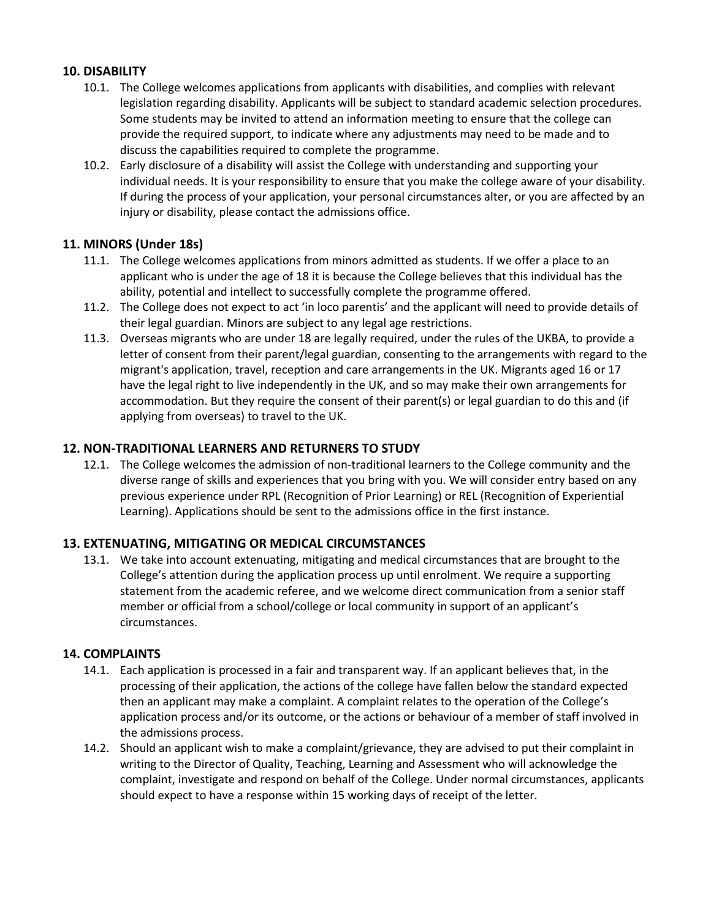# **10. DISABILITY**

- 10.1. The College welcomes applications from applicants with disabilities, and complies with relevant legislation regarding disability. Applicants will be subject to standard academic selection procedures. Some students may be invited to attend an information meeting to ensure that the college can provide the required support, to indicate where any adjustments may need to be made and to discuss the capabilities required to complete the programme.
- 10.2. Early disclosure of a disability will assist the College with understanding and supporting your individual needs. It is your responsibility to ensure that you make the college aware of your disability. If during the process of your application, your personal circumstances alter, or you are affected by an injury or disability, please contact the admissions office.

# **11. MINORS (Under 18s)**

- 11.1. The College welcomes applications from minors admitted as students. If we offer a place to an applicant who is under the age of 18 it is because the College believes that this individual has the ability, potential and intellect to successfully complete the programme offered.
- 11.2. The College does not expect to act 'in loco parentis' and the applicant will need to provide details of their legal guardian. Minors are subject to any legal age restrictions.
- 11.3. Overseas migrants who are under 18 are legally required, under the rules of the UKBA, to provide a letter of consent from their parent/legal guardian, consenting to the arrangements with regard to the migrant's application, travel, reception and care arrangements in the UK. Migrants aged 16 or 17 have the legal right to live independently in the UK, and so may make their own arrangements for accommodation. But they require the consent of their parent(s) or legal guardian to do this and (if applying from overseas) to travel to the UK.

# **12. NON-TRADITIONAL LEARNERS AND RETURNERS TO STUDY**

12.1. The College welcomes the admission of non-traditional learners to the College community and the diverse range of skills and experiences that you bring with you. We will consider entry based on any previous experience under RPL (Recognition of Prior Learning) or REL (Recognition of Experiential Learning). Applications should be sent to the admissions office in the first instance.

# **13. EXTENUATING, MITIGATING OR MEDICAL CIRCUMSTANCES**

13.1. We take into account extenuating, mitigating and medical circumstances that are brought to the College's attention during the application process up until enrolment. We require a supporting statement from the academic referee, and we welcome direct communication from a senior staff member or official from a school/college or local community in support of an applicant's circumstances.

#### **14. COMPLAINTS**

- 14.1. Each application is processed in a fair and transparent way. If an applicant believes that, in the processing of their application, the actions of the college have fallen below the standard expected then an applicant may make a complaint. A complaint relates to the operation of the College's application process and/or its outcome, or the actions or behaviour of a member of staff involved in the admissions process.
- 14.2. Should an applicant wish to make a complaint/grievance, they are advised to put their complaint in writing to the Director of Quality, Teaching, Learning and Assessment who will acknowledge the complaint, investigate and respond on behalf of the College. Under normal circumstances, applicants should expect to have a response within 15 working days of receipt of the letter.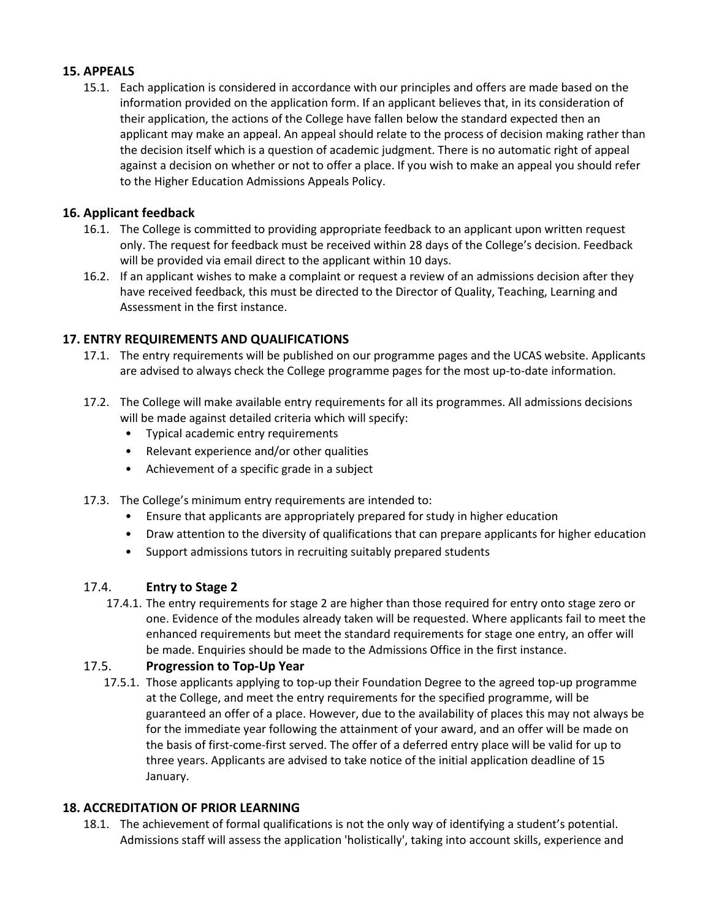# **15. APPEALS**

15.1. Each application is considered in accordance with our principles and offers are made based on the information provided on the application form. If an applicant believes that, in its consideration of their application, the actions of the College have fallen below the standard expected then an applicant may make an appeal. An appeal should relate to the process of decision making rather than the decision itself which is a question of academic judgment. There is no automatic right of appeal against a decision on whether or not to offer a place. If you wish to make an appeal you should refer to the Higher Education Admissions Appeals Policy.

# **16. Applicant feedback**

- 16.1. The College is committed to providing appropriate feedback to an applicant upon written request only. The request for feedback must be received within 28 days of the College's decision. Feedback will be provided via email direct to the applicant within 10 days.
- 16.2. If an applicant wishes to make a complaint or request a review of an admissions decision after they have received feedback, this must be directed to the Director of Quality, Teaching, Learning and Assessment in the first instance.

# **17. ENTRY REQUIREMENTS AND QUALIFICATIONS**

- 17.1. The entry requirements will be published on our programme pages and the UCAS website. Applicants are advised to always check the College programme pages for the most up-to-date information.
- 17.2. The College will make available entry requirements for all its programmes. All admissions decisions will be made against detailed criteria which will specify:
	- Typical academic entry requirements
	- Relevant experience and/or other qualities
	- Achievement of a specific grade in a subject
- 17.3. The College's minimum entry requirements are intended to:
	- Ensure that applicants are appropriately prepared for study in higher education
	- Draw attention to the diversity of qualifications that can prepare applicants for higher education
	- Support admissions tutors in recruiting suitably prepared students

# 17.4. **Entry to Stage 2**

17.4.1. The entry requirements for stage 2 are higher than those required for entry onto stage zero or one. Evidence of the modules already taken will be requested. Where applicants fail to meet the enhanced requirements but meet the standard requirements for stage one entry, an offer will be made. Enquiries should be made to the Admissions Office in the first instance.

#### 17.5. **Progression to Top-Up Year**

17.5.1. Those applicants applying to top-up their Foundation Degree to the agreed top-up programme at the College, and meet the entry requirements for the specified programme, will be guaranteed an offer of a place. However, due to the availability of places this may not always be for the immediate year following the attainment of your award, and an offer will be made on the basis of first-come-first served. The offer of a deferred entry place will be valid for up to three years. Applicants are advised to take notice of the initial application deadline of 15 January.

#### **18. ACCREDITATION OF PRIOR LEARNING**

18.1. The achievement of formal qualifications is not the only way of identifying a student's potential. Admissions staff will assess the application 'holistically', taking into account skills, experience and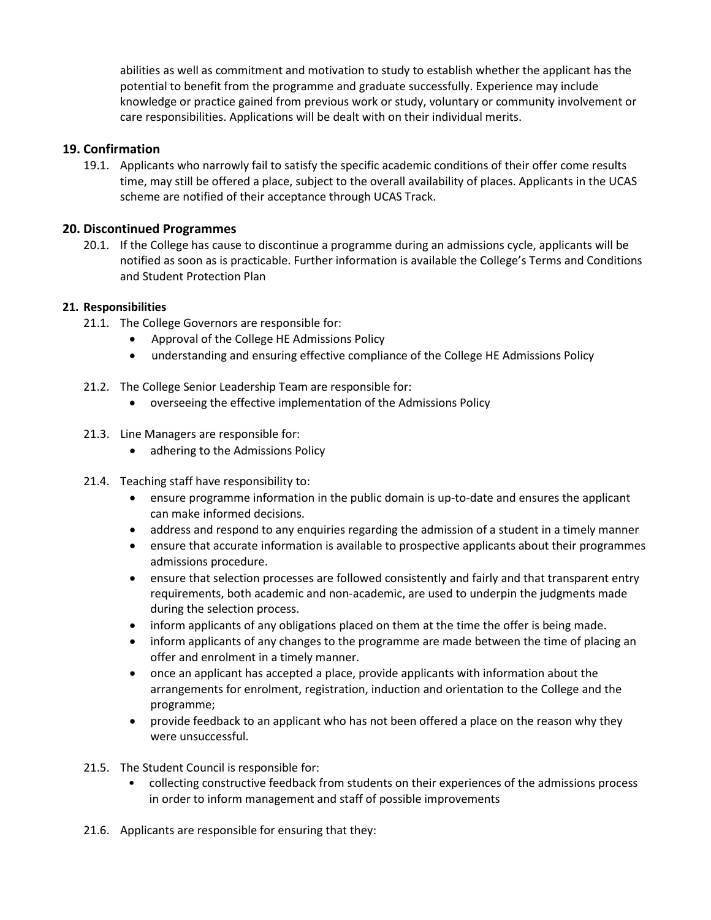abilities as well as commitment and motivation to study to establish whether the applicant has the potential to benefit from the programme and graduate successfully. Experience may include knowledge or practice gained from previous work or study, voluntary or community involvement or care responsibilities. Applications will be dealt with on their individual merits.

# **19. Confirmation**

19.1. Applicants who narrowly fail to satisfy the specific academic conditions of their offer come results time, may still be offered a place, subject to the overall availability of places. Applicants in the UCAS scheme are notified of their acceptance through UCAS Track.

#### **20. Discontinued Programmes**

20.1. If the College has cause to discontinue a programme during an admissions cycle, applicants will be notified as soon as is practicable. Further information is available the College's Terms and Conditions and Student Protection Plan

#### **21. Responsibilities**

- 21.1. The College Governors are responsible for:
	- Approval of the College HE Admissions Policy
	- understanding and ensuring effective compliance of the College HE Admissions Policy
- 21.2. The College Senior Leadership Team are responsible for:
	- overseeing the effective implementation of the Admissions Policy
- 21.3. Line Managers are responsible for:
	- adhering to the Admissions Policy
- 21.4. Teaching staff have responsibility to:
	- ensure programme information in the public domain is up-to-date and ensures the applicant can make informed decisions.
	- address and respond to any enquiries regarding the admission of a student in a timely manner
	- ensure that accurate information is available to prospective applicants about their programmes admissions procedure.
	- ensure that selection processes are followed consistently and fairly and that transparent entry requirements, both academic and non-academic, are used to underpin the judgments made during the selection process.
	- inform applicants of any obligations placed on them at the time the offer is being made.
	- inform applicants of any changes to the programme are made between the time of placing an offer and enrolment in a timely manner.
	- once an applicant has accepted a place, provide applicants with information about the arrangements for enrolment, registration, induction and orientation to the College and the programme;
	- provide feedback to an applicant who has not been offered a place on the reason why they were unsuccessful.
- 21.5. The Student Council is responsible for:
	- collecting constructive feedback from students on their experiences of the admissions process in order to inform management and staff of possible improvements
- 21.6. Applicants are responsible for ensuring that they: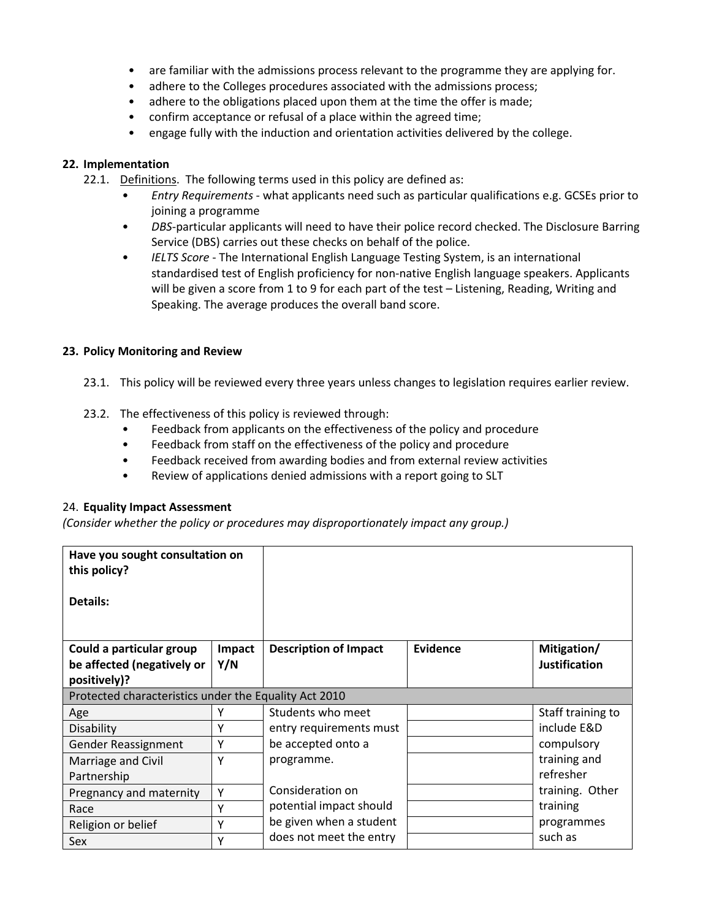- are familiar with the admissions process relevant to the programme they are applying for.
- adhere to the Colleges procedures associated with the admissions process;
- adhere to the obligations placed upon them at the time the offer is made;
- confirm acceptance or refusal of a place within the agreed time;
- engage fully with the induction and orientation activities delivered by the college.

#### **22. Implementation**

- 22.1. Definitions. The following terms used in this policy are defined as:
	- *Entry Requirements* what applicants need such as particular qualifications e.g. GCSEs prior to joining a programme
	- *DBS*-particular applicants will need to have their police record checked. The Disclosure Barring Service (DBS) carries out these checks on behalf of the police.
	- *IELTS Score* The International English Language Testing System, is an international standardised test of English proficiency for non-native English language speakers. Applicants will be given a score from 1 to 9 for each part of the test – Listening, Reading, Writing and Speaking. The average produces the overall band score.

#### **23. Policy Monitoring and Review**

- 23.1. This policy will be reviewed every three years unless changes to legislation requires earlier review.
- 23.2. The effectiveness of this policy is reviewed through:
	- Feedback from applicants on the effectiveness of the policy and procedure
	- Feedback from staff on the effectiveness of the policy and procedure
	- Feedback received from awarding bodies and from external review activities
	- Review of applications denied admissions with a report going to SLT

#### 24. **Equality Impact Assessment**

*(Consider whether the policy or procedures may disproportionately impact any group.)*

| Have you sought consultation on<br>this policy?       |        |                              |                 |                      |
|-------------------------------------------------------|--------|------------------------------|-----------------|----------------------|
| Details:                                              |        |                              |                 |                      |
| Could a particular group                              | Impact | <b>Description of Impact</b> | <b>Evidence</b> | Mitigation/          |
| be affected (negatively or                            | Y/N    |                              |                 | <b>Justification</b> |
| positively)?                                          |        |                              |                 |                      |
| Protected characteristics under the Equality Act 2010 |        |                              |                 |                      |
| Age                                                   |        | Students who meet            |                 | Staff training to    |
| Disability                                            | Υ      | entry requirements must      |                 | include E&D          |
| <b>Gender Reassignment</b>                            | Y      | be accepted onto a           |                 | compulsory           |
| Marriage and Civil                                    | Y      | programme.                   |                 | training and         |
| Partnership                                           |        |                              |                 | refresher            |
| Pregnancy and maternity                               | Y      | Consideration on             |                 | training. Other      |
| Race                                                  | Υ      | potential impact should      |                 | training             |
| Religion or belief                                    | Υ      | be given when a student      |                 | programmes           |
| <b>Sex</b>                                            | Υ      | does not meet the entry      |                 | such as              |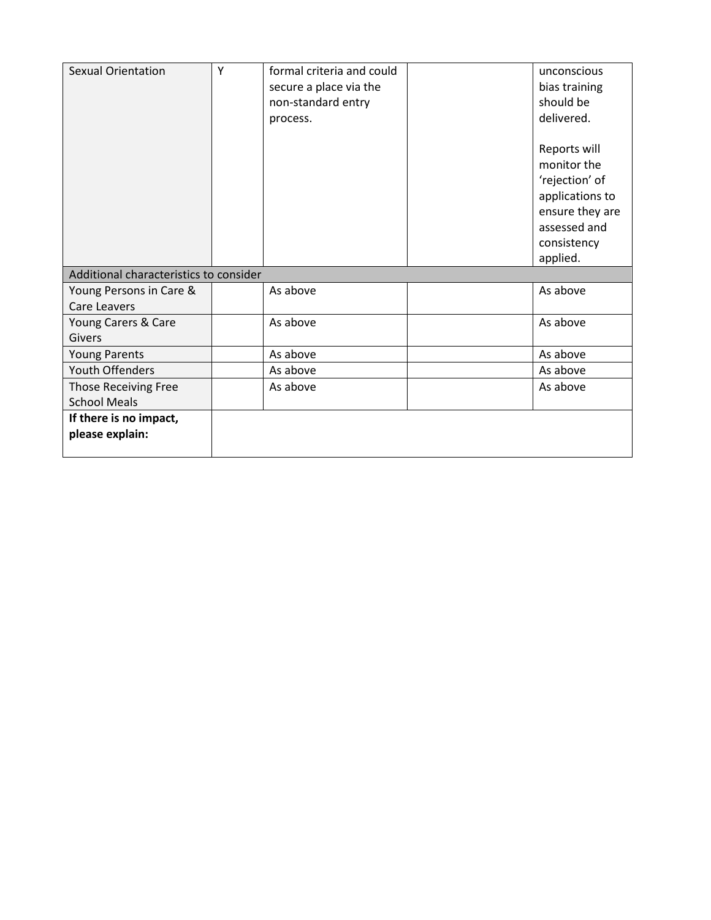| <b>Sexual Orientation</b>              | Y | formal criteria and could | unconscious     |
|----------------------------------------|---|---------------------------|-----------------|
|                                        |   | secure a place via the    | bias training   |
|                                        |   | non-standard entry        | should be       |
|                                        |   | process.                  | delivered.      |
|                                        |   |                           |                 |
|                                        |   |                           | Reports will    |
|                                        |   |                           | monitor the     |
|                                        |   |                           | 'rejection' of  |
|                                        |   |                           | applications to |
|                                        |   |                           | ensure they are |
|                                        |   |                           | assessed and    |
|                                        |   |                           | consistency     |
|                                        |   |                           | applied.        |
| Additional characteristics to consider |   |                           |                 |
| Young Persons in Care &                |   | As above                  | As above        |
| Care Leavers                           |   |                           |                 |
| Young Carers & Care                    |   | As above                  | As above        |
| Givers                                 |   |                           |                 |
| <b>Young Parents</b>                   |   | As above                  | As above        |
| <b>Youth Offenders</b>                 |   | As above                  | As above        |
| <b>Those Receiving Free</b>            |   | As above                  | As above        |
| <b>School Meals</b>                    |   |                           |                 |
| If there is no impact,                 |   |                           |                 |
| please explain:                        |   |                           |                 |
|                                        |   |                           |                 |